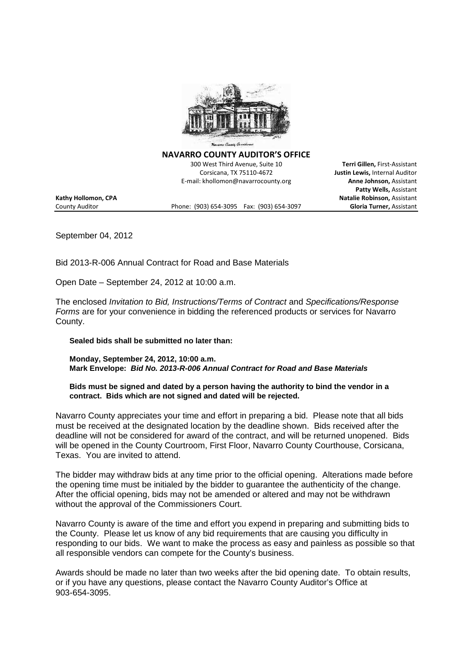

**NAVARRO COUNTY AUDITOR'S OFFICE**

300 West Third Avenue, Suite 10 **Terri Gillen,** First-Assistant Corsicana, TX 75110-4672 **Justin Lewis,** Internal Auditor E-mail: khollomon@navarrocounty.org **Anne Johnson,** Assistant

County Auditor Phone: (903) 654-3095 Fax: (903) 654-3097 **Gloria Turner,** Assistant

**Patty Wells,** Assistant **Kathy Hollomon, CPA Natalie Robinson,** Assistant

September 04, 2012

Bid 2013-R-006 Annual Contract for Road and Base Materials

Open Date – September 24, 2012 at 10:00 a.m.

The enclosed *Invitation to Bid, Instructions/Terms of Contract* and *Specifications/Response Forms* are for your convenience in bidding the referenced products or services for Navarro County.

**Sealed bids shall be submitted no later than:**

**Monday, September 24, 2012, 10:00 a.m. Mark Envelope:** *Bid No. 2013-R-006 Annual Contract for Road and Base Materials*

**Bids must be signed and dated by a person having the authority to bind the vendor in a contract. Bids which are not signed and dated will be rejected.**

Navarro County appreciates your time and effort in preparing a bid. Please note that all bids must be received at the designated location by the deadline shown. Bids received after the deadline will not be considered for award of the contract, and will be returned unopened. Bids will be opened in the County Courtroom, First Floor, Navarro County Courthouse, Corsicana, Texas. You are invited to attend.

The bidder may withdraw bids at any time prior to the official opening. Alterations made before the opening time must be initialed by the bidder to guarantee the authenticity of the change. After the official opening, bids may not be amended or altered and may not be withdrawn without the approval of the Commissioners Court.

Navarro County is aware of the time and effort you expend in preparing and submitting bids to the County. Please let us know of any bid requirements that are causing you difficulty in responding to our bids. We want to make the process as easy and painless as possible so that all responsible vendors can compete for the County's business.

Awards should be made no later than two weeks after the bid opening date. To obtain results, or if you have any questions, please contact the Navarro County Auditor's Office at 903-654-3095.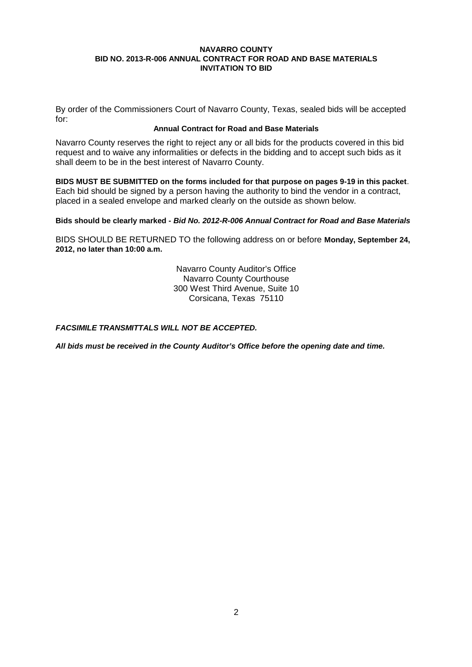By order of the Commissioners Court of Navarro County, Texas, sealed bids will be accepted for:

#### **Annual Contract for Road and Base Materials**

Navarro County reserves the right to reject any or all bids for the products covered in this bid request and to waive any informalities or defects in the bidding and to accept such bids as it shall deem to be in the best interest of Navarro County.

**BIDS MUST BE SUBMITTED on the forms included for that purpose on pages 9-19 in this packet**. Each bid should be signed by a person having the authority to bind the vendor in a contract, placed in a sealed envelope and marked clearly on the outside as shown below.

# **Bids should be clearly marked -** *Bid No. 2012-R-006 Annual Contract for Road and Base Materials*

BIDS SHOULD BE RETURNED TO the following address on or before **Monday, September 24, 2012, no later than 10:00 a.m.**

> Navarro County Auditor's Office Navarro County Courthouse 300 West Third Avenue, Suite 10 Corsicana, Texas 75110

# *FACSIMILE TRANSMITTALS WILL NOT BE ACCEPTED.*

*All bids must be received in the County Auditor's Office before the opening date and time.*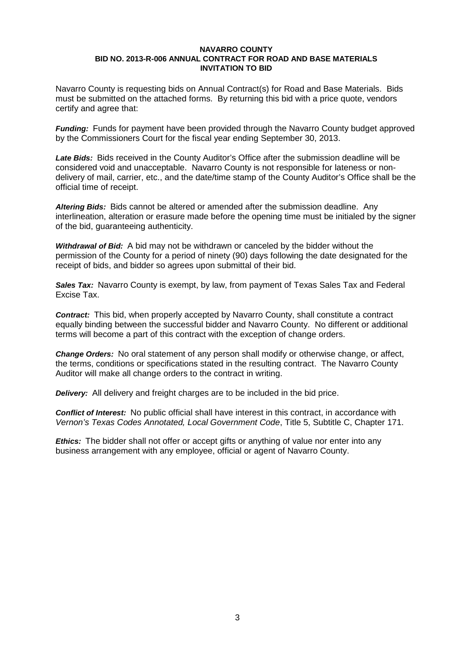Navarro County is requesting bids on Annual Contract(s) for Road and Base Materials. Bids must be submitted on the attached forms. By returning this bid with a price quote, vendors certify and agree that:

*Funding:* Funds for payment have been provided through the Navarro County budget approved by the Commissioners Court for the fiscal year ending September 30, 2013.

*Late Bids:* Bids received in the County Auditor's Office after the submission deadline will be considered void and unacceptable. Navarro County is not responsible for lateness or nondelivery of mail, carrier, etc., and the date/time stamp of the County Auditor's Office shall be the official time of receipt.

*Altering Bids:* Bids cannot be altered or amended after the submission deadline. Any interlineation, alteration or erasure made before the opening time must be initialed by the signer of the bid, guaranteeing authenticity.

*Withdrawal of Bid:* A bid may not be withdrawn or canceled by the bidder without the permission of the County for a period of ninety (90) days following the date designated for the receipt of bids, and bidder so agrees upon submittal of their bid.

**Sales Tax:** Navarro County is exempt, by law, from payment of Texas Sales Tax and Federal Excise Tax.

*Contract:* This bid, when properly accepted by Navarro County, shall constitute a contract equally binding between the successful bidder and Navarro County. No different or additional terms will become a part of this contract with the exception of change orders.

*Change Orders:* No oral statement of any person shall modify or otherwise change, or affect, the terms, conditions or specifications stated in the resulting contract. The Navarro County Auditor will make all change orders to the contract in writing.

*Delivery:* All delivery and freight charges are to be included in the bid price.

*Conflict of Interest:* No public official shall have interest in this contract, in accordance with *Vernon's Texas Codes Annotated, Local Government Code*, Title 5, Subtitle C, Chapter 171.

*Ethics:* The bidder shall not offer or accept gifts or anything of value nor enter into any business arrangement with any employee, official or agent of Navarro County.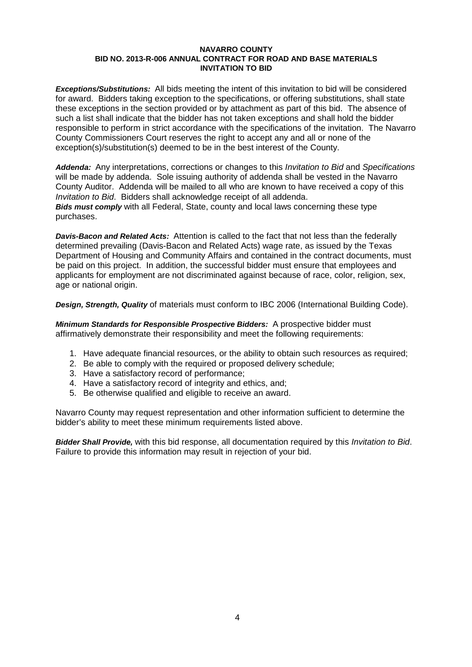*Exceptions/Substitutions:* All bids meeting the intent of this invitation to bid will be considered for award. Bidders taking exception to the specifications, or offering substitutions, shall state these exceptions in the section provided or by attachment as part of this bid. The absence of such a list shall indicate that the bidder has not taken exceptions and shall hold the bidder responsible to perform in strict accordance with the specifications of the invitation. The Navarro County Commissioners Court reserves the right to accept any and all or none of the exception(s)/substitution(s) deemed to be in the best interest of the County.

*Addenda:* Any interpretations, corrections or changes to this *Invitation to Bid* and *Specifications* will be made by addenda. Sole issuing authority of addenda shall be vested in the Navarro County Auditor. Addenda will be mailed to all who are known to have received a copy of this *Invitation to Bid*. Bidders shall acknowledge receipt of all addenda. *Bids must comply* with all Federal, State, county and local laws concerning these type purchases.

*Davis-Bacon and Related Acts:* Attention is called to the fact that not less than the federally determined prevailing (Davis-Bacon and Related Acts) wage rate, as issued by the Texas Department of Housing and Community Affairs and contained in the contract documents, must be paid on this project. In addition, the successful bidder must ensure that employees and applicants for employment are not discriminated against because of race, color, religion, sex, age or national origin.

*Design, Strength, Quality* of materials must conform to IBC 2006 (International Building Code).

*Minimum Standards for Responsible Prospective Bidders:* A prospective bidder must affirmatively demonstrate their responsibility and meet the following requirements:

- 1. Have adequate financial resources, or the ability to obtain such resources as required;
- 2. Be able to comply with the required or proposed delivery schedule;
- 3. Have a satisfactory record of performance;
- 4. Have a satisfactory record of integrity and ethics, and;
- 5. Be otherwise qualified and eligible to receive an award.

Navarro County may request representation and other information sufficient to determine the bidder's ability to meet these minimum requirements listed above.

*Bidder Shall Provide,* with this bid response, all documentation required by this *Invitation to Bid*. Failure to provide this information may result in rejection of your bid.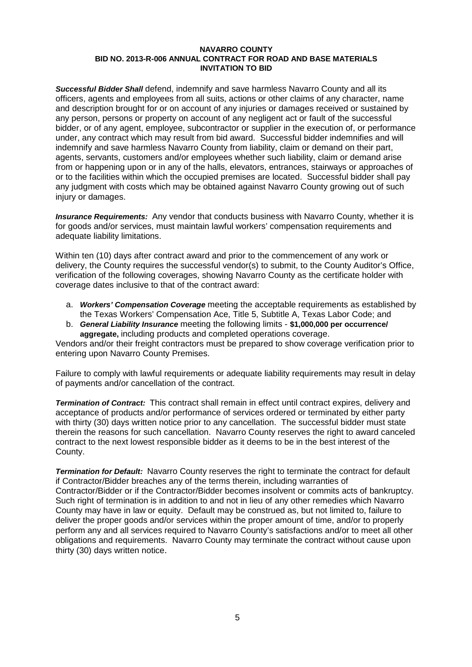*Successful Bidder Shall* defend, indemnify and save harmless Navarro County and all its officers, agents and employees from all suits, actions or other claims of any character, name and description brought for or on account of any injuries or damages received or sustained by any person, persons or property on account of any negligent act or fault of the successful bidder, or of any agent, employee, subcontractor or supplier in the execution of, or performance under, any contract which may result from bid award. Successful bidder indemnifies and will indemnify and save harmless Navarro County from liability, claim or demand on their part, agents, servants, customers and/or employees whether such liability, claim or demand arise from or happening upon or in any of the halls, elevators, entrances, stairways or approaches of or to the facilities within which the occupied premises are located. Successful bidder shall pay any judgment with costs which may be obtained against Navarro County growing out of such injury or damages.

*Insurance Requirements:* Any vendor that conducts business with Navarro County, whether it is for goods and/or services, must maintain lawful workers' compensation requirements and adequate liability limitations.

Within ten (10) days after contract award and prior to the commencement of any work or delivery, the County requires the successful vendor(s) to submit, to the County Auditor's Office, verification of the following coverages, showing Navarro County as the certificate holder with coverage dates inclusive to that of the contract award:

- a. *Workers' Compensation Coverage* meeting the acceptable requirements as established by the Texas Workers' Compensation Ace, Title 5, Subtitle A, Texas Labor Code; and
- b. *General Liability Insurance* meeting the following limits **\$1,000,000 per occurrence/ aggregate,** including products and completed operations coverage.

Vendors and/or their freight contractors must be prepared to show coverage verification prior to entering upon Navarro County Premises.

Failure to comply with lawful requirements or adequate liability requirements may result in delay of payments and/or cancellation of the contract.

*Termination of Contract:* This contract shall remain in effect until contract expires, delivery and acceptance of products and/or performance of services ordered or terminated by either party with thirty (30) days written notice prior to any cancellation. The successful bidder must state therein the reasons for such cancellation. Navarro County reserves the right to award canceled contract to the next lowest responsible bidder as it deems to be in the best interest of the County.

*Termination for Default:* Navarro County reserves the right to terminate the contract for default if Contractor/Bidder breaches any of the terms therein, including warranties of Contractor/Bidder or if the Contractor/Bidder becomes insolvent or commits acts of bankruptcy. Such right of termination is in addition to and not in lieu of any other remedies which Navarro County may have in law or equity. Default may be construed as, but not limited to, failure to deliver the proper goods and/or services within the proper amount of time, and/or to properly perform any and all services required to Navarro County's satisfactions and/or to meet all other obligations and requirements. Navarro County may terminate the contract without cause upon thirty (30) days written notice.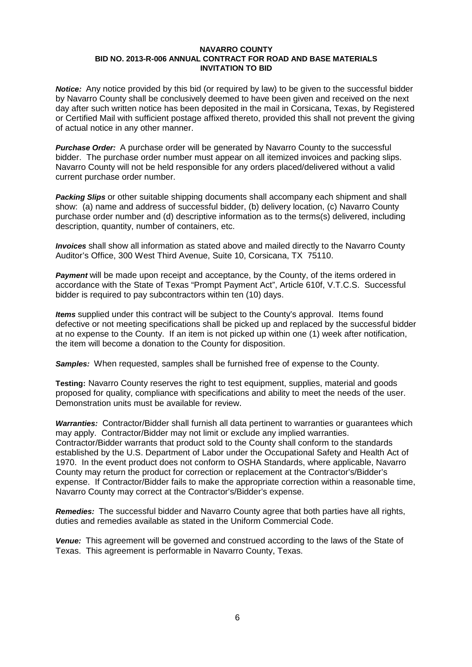*Notice:* Any notice provided by this bid (or required by law) to be given to the successful bidder by Navarro County shall be conclusively deemed to have been given and received on the next day after such written notice has been deposited in the mail in Corsicana, Texas, by Registered or Certified Mail with sufficient postage affixed thereto, provided this shall not prevent the giving of actual notice in any other manner.

*Purchase Order:* A purchase order will be generated by Navarro County to the successful bidder. The purchase order number must appear on all itemized invoices and packing slips. Navarro County will not be held responsible for any orders placed/delivered without a valid current purchase order number.

*Packing Slips* or other suitable shipping documents shall accompany each shipment and shall show: (a) name and address of successful bidder, (b) delivery location, (c) Navarro County purchase order number and (d) descriptive information as to the terms(s) delivered, including description, quantity, number of containers, etc.

*Invoices* shall show all information as stated above and mailed directly to the Navarro County Auditor's Office, 300 West Third Avenue, Suite 10, Corsicana, TX 75110.

*Payment* will be made upon receipt and acceptance, by the County, of the items ordered in accordance with the State of Texas "Prompt Payment Act", Article 610f, V.T.C.S. Successful bidder is required to pay subcontractors within ten (10) days.

*Items* supplied under this contract will be subject to the County's approval. Items found defective or not meeting specifications shall be picked up and replaced by the successful bidder at no expense to the County. If an item is not picked up within one (1) week after notification, the item will become a donation to the County for disposition.

*Samples:* When requested, samples shall be furnished free of expense to the County.

**Testing:** Navarro County reserves the right to test equipment, supplies, material and goods proposed for quality, compliance with specifications and ability to meet the needs of the user. Demonstration units must be available for review.

*Warranties:* Contractor/Bidder shall furnish all data pertinent to warranties or guarantees which may apply. Contractor/Bidder may not limit or exclude any implied warranties. Contractor/Bidder warrants that product sold to the County shall conform to the standards established by the U.S. Department of Labor under the Occupational Safety and Health Act of 1970. In the event product does not conform to OSHA Standards, where applicable, Navarro County may return the product for correction or replacement at the Contractor's/Bidder's expense. If Contractor/Bidder fails to make the appropriate correction within a reasonable time, Navarro County may correct at the Contractor's/Bidder's expense.

*Remedies:* The successful bidder and Navarro County agree that both parties have all rights, duties and remedies available as stated in the Uniform Commercial Code.

*Venue:* This agreement will be governed and construed according to the laws of the State of Texas. This agreement is performable in Navarro County, Texas.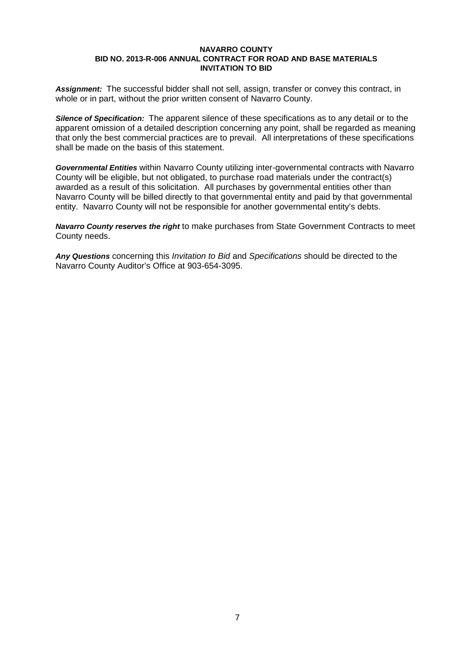*Assignment:* The successful bidder shall not sell, assign, transfer or convey this contract, in whole or in part, without the prior written consent of Navarro County.

*Silence of Specification:* The apparent silence of these specifications as to any detail or to the apparent omission of a detailed description concerning any point, shall be regarded as meaning that only the best commercial practices are to prevail. All interpretations of these specifications shall be made on the basis of this statement.

*Governmental Entities* within Navarro County utilizing inter-governmental contracts with Navarro County will be eligible, but not obligated, to purchase road materials under the contract(s) awarded as a result of this solicitation. All purchases by governmental entities other than Navarro County will be billed directly to that governmental entity and paid by that governmental entity. Navarro County will not be responsible for another governmental entity's debts.

*Navarro County reserves the right* to make purchases from State Government Contracts to meet County needs.

*Any Questions* concerning this *Invitation to Bid* and *Specifications* should be directed to the Navarro County Auditor's Office at 903-654-3095.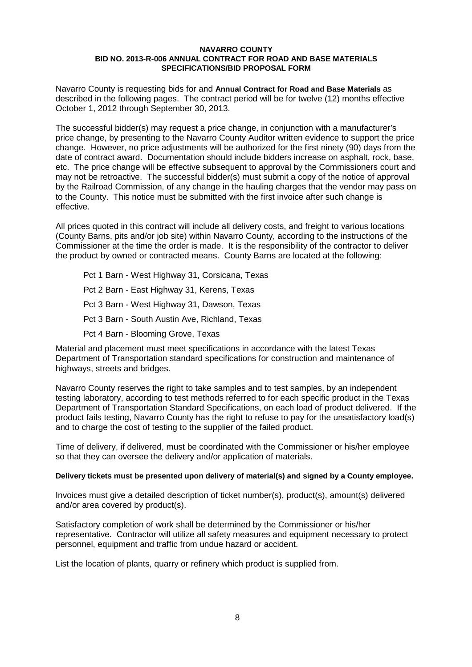Navarro County is requesting bids for and **Annual Contract for Road and Base Materials** as described in the following pages. The contract period will be for twelve (12) months effective October 1, 2012 through September 30, 2013.

The successful bidder(s) may request a price change, in conjunction with a manufacturer's price change, by presenting to the Navarro County Auditor written evidence to support the price change. However, no price adjustments will be authorized for the first ninety (90) days from the date of contract award. Documentation should include bidders increase on asphalt, rock, base, etc. The price change will be effective subsequent to approval by the Commissioners court and may not be retroactive. The successful bidder(s) must submit a copy of the notice of approval by the Railroad Commission, of any change in the hauling charges that the vendor may pass on to the County. This notice must be submitted with the first invoice after such change is effective.

All prices quoted in this contract will include all delivery costs, and freight to various locations (County Barns, pits and/or job site) within Navarro County, according to the instructions of the Commissioner at the time the order is made. It is the responsibility of the contractor to deliver the product by owned or contracted means. County Barns are located at the following:

Pct 1 Barn - West Highway 31, Corsicana, Texas Pct 2 Barn - East Highway 31, Kerens, Texas Pct 3 Barn - West Highway 31, Dawson, Texas Pct 3 Barn - South Austin Ave, Richland, Texas Pct 4 Barn - Blooming Grove, Texas

Material and placement must meet specifications in accordance with the latest Texas Department of Transportation standard specifications for construction and maintenance of highways, streets and bridges.

Navarro County reserves the right to take samples and to test samples, by an independent testing laboratory, according to test methods referred to for each specific product in the Texas Department of Transportation Standard Specifications, on each load of product delivered. If the product fails testing, Navarro County has the right to refuse to pay for the unsatisfactory load(s) and to charge the cost of testing to the supplier of the failed product.

Time of delivery, if delivered, must be coordinated with the Commissioner or his/her employee so that they can oversee the delivery and/or application of materials.

# **Delivery tickets must be presented upon delivery of material(s) and signed by a County employee.**

Invoices must give a detailed description of ticket number(s), product(s), amount(s) delivered and/or area covered by product(s).

Satisfactory completion of work shall be determined by the Commissioner or his/her representative. Contractor will utilize all safety measures and equipment necessary to protect personnel, equipment and traffic from undue hazard or accident.

List the location of plants, quarry or refinery which product is supplied from.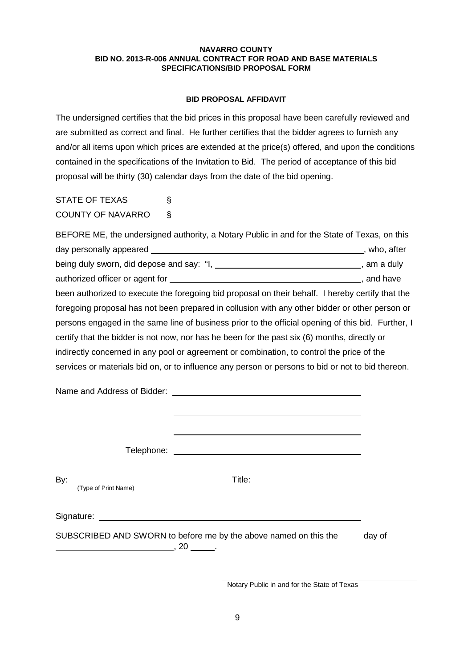# **BID PROPOSAL AFFIDAVIT**

The undersigned certifies that the bid prices in this proposal have been carefully reviewed and are submitted as correct and final. He further certifies that the bidder agrees to furnish any and/or all items upon which prices are extended at the price(s) offered, and upon the conditions contained in the specifications of the Invitation to Bid. The period of acceptance of this bid proposal will be thirty (30) calendar days from the date of the bid opening.

STATE OF TEXAS § COUNTY OF NAVARRO §

| BEFORE ME, the undersigned authority, a Notary Public in and for the State of Texas, on this       |                 |  |
|----------------------------------------------------------------------------------------------------|-----------------|--|
| day personally appeared ___                                                                        | , who, after    |  |
|                                                                                                    | $\_,$ am a duly |  |
|                                                                                                    | , and have      |  |
| been authorized to execute the foregoing bid proposal on their behalf. I hereby certify that the   |                 |  |
| foregoing proposal has not been prepared in collusion with any other bidder or other person or     |                 |  |
| persons engaged in the same line of business prior to the official opening of this bid. Further, I |                 |  |
| certify that the bidder is not now, nor has he been for the past six (6) months, directly or       |                 |  |
| indirectly concerned in any pool or agreement or combination, to control the price of the          |                 |  |
| services or materials bid on, or to influence any person or persons to bid or not to bid thereon.  |                 |  |

| (Type of Print Name) |                                                                               |  |
|----------------------|-------------------------------------------------------------------------------|--|
|                      | SUBSCRIBED AND SWORN to before me by the above named on this the _____ day of |  |

Notary Public in and for the State of Texas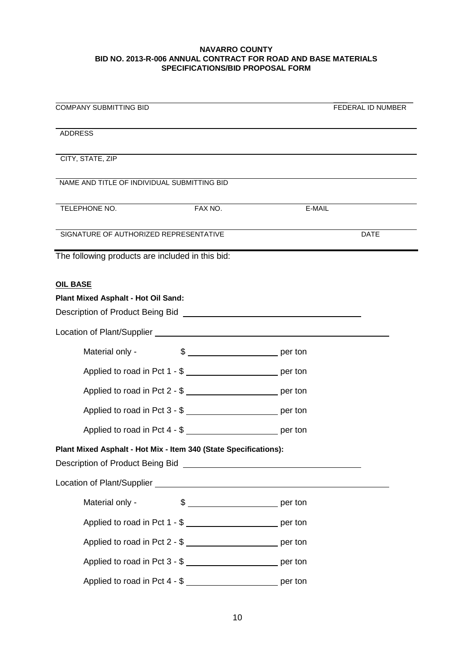| <b>COMPANY SUBMITTING BID</b>                                     | FEDERAL ID NUMBER                                                                                                              |
|-------------------------------------------------------------------|--------------------------------------------------------------------------------------------------------------------------------|
| <b>ADDRESS</b>                                                    |                                                                                                                                |
| CITY, STATE, ZIP                                                  |                                                                                                                                |
| NAME AND TITLE OF INDIVIDUAL SUBMITTING BID                       |                                                                                                                                |
| FAX NO.<br>TELEPHONE NO.                                          | <u> 1980 - Johann Barn, mars ann an t-Amhain Aonaich an t-Aonaich an t-Aonaich ann an t-Aonaich ann an t-Aonaich</u><br>E-MAIL |
| SIGNATURE OF AUTHORIZED REPRESENTATIVE                            | <b>DATE</b>                                                                                                                    |
| The following products are included in this bid:                  |                                                                                                                                |
| <b>OIL BASE</b>                                                   |                                                                                                                                |
| Plant Mixed Asphalt - Hot Oil Sand:                               |                                                                                                                                |
|                                                                   |                                                                                                                                |
|                                                                   |                                                                                                                                |
| Material only -                                                   |                                                                                                                                |
| Applied to road in Pct 1 - \$ __________________________ per ton  |                                                                                                                                |
| Applied to road in Pct 2 - \$                                     |                                                                                                                                |
| Applied to road in Pct 3 - \$ ___________________________ per ton |                                                                                                                                |
| Applied to road in Pct 4 - \$ __________________________ per ton  |                                                                                                                                |
| Plant Mixed Asphalt - Hot Mix - Item 340 (State Specifications):  |                                                                                                                                |
|                                                                   |                                                                                                                                |
|                                                                   |                                                                                                                                |
| Material only -                                                   |                                                                                                                                |
| Applied to road in Pct 1 - \$ __________________________ per ton  |                                                                                                                                |
| Applied to road in Pct 2 - \$ __________________________ per ton  |                                                                                                                                |
| Applied to road in Pct 3 - \$                                     |                                                                                                                                |
| Applied to road in Pct 4 - \$ __________________________ per ton  |                                                                                                                                |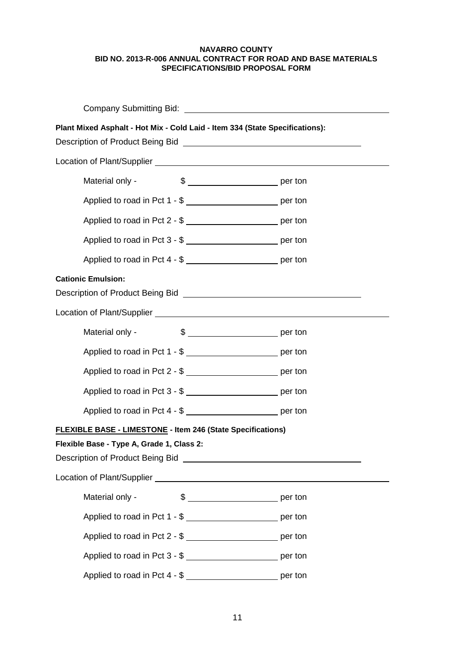| Company Submitting Bid: Company Submitting Bid:                                                                                                                                           |  |  |  |
|-------------------------------------------------------------------------------------------------------------------------------------------------------------------------------------------|--|--|--|
| Plant Mixed Asphalt - Hot Mix - Cold Laid - Item 334 (State Specifications):<br>Description of Product Being Bid <b>Description of Product Being Bid Description of Product Being Bid</b> |  |  |  |
|                                                                                                                                                                                           |  |  |  |
| Material only -                                                                                                                                                                           |  |  |  |
| Applied to road in Pct 1 - \$                                                                                                                                                             |  |  |  |
| Applied to road in Pct 2 - \$                                                                                                                                                             |  |  |  |
| Applied to road in Pct 3 - \$ __________________________ per ton                                                                                                                          |  |  |  |
| Applied to road in Pct 4 - \$ _____________________________ per ton                                                                                                                       |  |  |  |
| <b>Cationic Emulsion:</b><br>Description of Product Being Bid New York (1999) and the United States of Security and States of Security and                                                |  |  |  |
| Location of Plant/Supplier Learning Contract of Plant/Supplier                                                                                                                            |  |  |  |
| Material only -                                                                                                                                                                           |  |  |  |
| Applied to road in Pct 1 - \$ __________________________ per ton                                                                                                                          |  |  |  |
|                                                                                                                                                                                           |  |  |  |
| Applied to road in Pct 3 - \$                                                                                                                                                             |  |  |  |
| Applied to road in Pct 4 - \$ ____________________________ per ton                                                                                                                        |  |  |  |
| FLEXIBLE BASE - LIMESTONE - Item 246 (State Specifications)                                                                                                                               |  |  |  |
| Flexible Base - Type A, Grade 1, Class 2:                                                                                                                                                 |  |  |  |
| Description of Product Being Bid [1994] [2005] [2006] [2006] [2006] [2006] [2006] [2006] [2006] [2006] [2006] [                                                                           |  |  |  |
|                                                                                                                                                                                           |  |  |  |
| Material only -                                                                                                                                                                           |  |  |  |
| Applied to road in Pct 1 - \$                                                                                                                                                             |  |  |  |
| Applied to road in Pct 2 - \$ __________________________ per ton                                                                                                                          |  |  |  |
| Applied to road in Pct 3 - \$ __________________________ per ton                                                                                                                          |  |  |  |
| Applied to road in Pct 4 - \$ __________________________ per ton                                                                                                                          |  |  |  |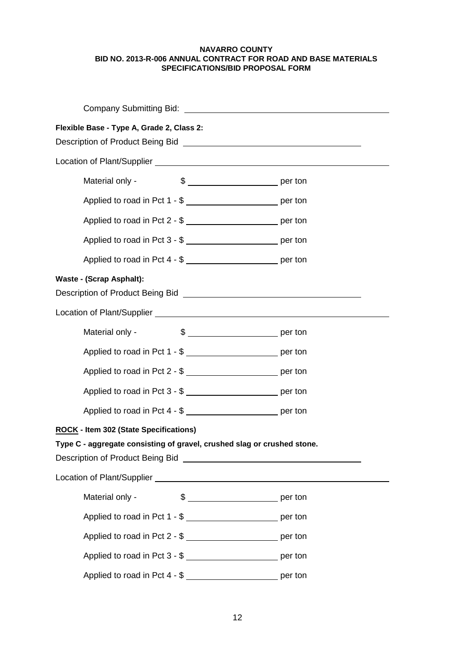| Flexible Base - Type A, Grade 2, Class 2:                                                                                                                                                                                            |                                                                   |  |  |
|--------------------------------------------------------------------------------------------------------------------------------------------------------------------------------------------------------------------------------------|-------------------------------------------------------------------|--|--|
|                                                                                                                                                                                                                                      |                                                                   |  |  |
| Material only -                                                                                                                                                                                                                      | $\frac{1}{2}$ per ton                                             |  |  |
|                                                                                                                                                                                                                                      | Applied to road in Pct 1 - \$ __________________________ per ton  |  |  |
|                                                                                                                                                                                                                                      | Applied to road in Pct 2 - \$                                     |  |  |
|                                                                                                                                                                                                                                      | Applied to road in Pct 3 - \$                                     |  |  |
|                                                                                                                                                                                                                                      | Applied to road in Pct 4 - \$                                     |  |  |
| <b>Waste - (Scrap Asphalt):</b>                                                                                                                                                                                                      |                                                                   |  |  |
| Location of Plant/Supplier Learner and Contract and Contract of Plant/Supplier                                                                                                                                                       |                                                                   |  |  |
| Material only -                                                                                                                                                                                                                      |                                                                   |  |  |
|                                                                                                                                                                                                                                      | Applied to road in Pct 1 - \$ __________________________ per ton  |  |  |
|                                                                                                                                                                                                                                      | Applied to road in Pct 2 - \$ ___________________________ per ton |  |  |
|                                                                                                                                                                                                                                      | Applied to road in Pct 3 - \$                                     |  |  |
|                                                                                                                                                                                                                                      | Applied to road in Pct 4 - \$ __________________________ per ton  |  |  |
| ROCK - Item 302 (State Specifications)<br>Type C - aggregate consisting of gravel, crushed slag or crushed stone.<br>Description of Product Being Bid [1994] [2004] [2005] [2006] [2006] [2006] [2006] [2006] [2006] [2006] [2006] [ |                                                                   |  |  |
|                                                                                                                                                                                                                                      |                                                                   |  |  |
| Material only -                                                                                                                                                                                                                      |                                                                   |  |  |
|                                                                                                                                                                                                                                      | Applied to road in Pct 1 - \$ __________________________ per ton  |  |  |
|                                                                                                                                                                                                                                      | Applied to road in Pct 2 - \$ __________________________ per ton  |  |  |
|                                                                                                                                                                                                                                      | Applied to road in Pct 3 - \$ __________________________ per ton  |  |  |
|                                                                                                                                                                                                                                      | Applied to road in Pct 4 - \$ __________________________ per ton  |  |  |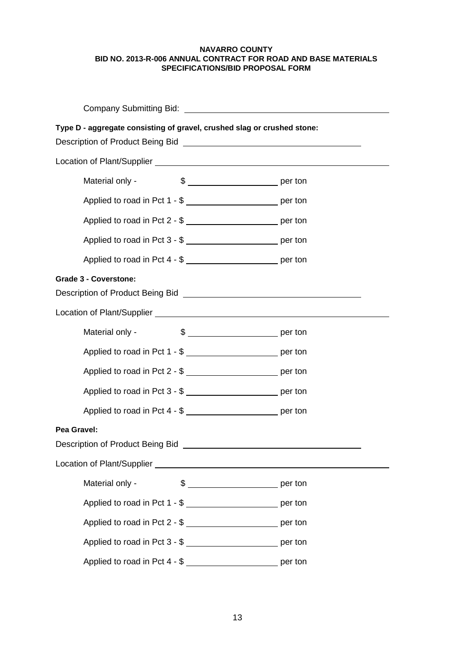| Type D - aggregate consisting of gravel, crushed slag or crushed stone:                                                                                                                                                                                              |                                                                    |  |  |
|----------------------------------------------------------------------------------------------------------------------------------------------------------------------------------------------------------------------------------------------------------------------|--------------------------------------------------------------------|--|--|
|                                                                                                                                                                                                                                                                      |                                                                    |  |  |
| Material only -                                                                                                                                                                                                                                                      |                                                                    |  |  |
|                                                                                                                                                                                                                                                                      | Applied to road in Pct 1 - \$                                      |  |  |
|                                                                                                                                                                                                                                                                      | Applied to road in Pct 2 - \$ __________________________ per ton   |  |  |
|                                                                                                                                                                                                                                                                      | Applied to road in Pct 3 - \$                                      |  |  |
|                                                                                                                                                                                                                                                                      | Applied to road in Pct 4 - \$ __________________________ per ton   |  |  |
| <b>Grade 3 - Coverstone:</b><br>Description of Product Being Bid <b>Constantine Constantine Constantine Constantine Constantine Constantine Constantine Constantine Constantine Constantine Constantine Constantine Constantine Constantine Constantine Constant</b> |                                                                    |  |  |
|                                                                                                                                                                                                                                                                      |                                                                    |  |  |
| Material only -                                                                                                                                                                                                                                                      |                                                                    |  |  |
|                                                                                                                                                                                                                                                                      | Applied to road in Pct 1 - \$                                      |  |  |
|                                                                                                                                                                                                                                                                      | Applied to road in Pct 2 - \$                                      |  |  |
|                                                                                                                                                                                                                                                                      | Applied to road in Pct 3 - \$ ___________________________ per ton  |  |  |
|                                                                                                                                                                                                                                                                      | Applied to road in Pct 4 - \$ ____________________________ per ton |  |  |
| Pea Gravel:                                                                                                                                                                                                                                                          |                                                                    |  |  |
| Description of Product Being Bid <b>Constanting Constanting Constanting Constanting Constanting Constanting Constanting Constanting Constanting Constanting Constanting Constanting Constanting Constanting Constanting Constant</b>                                 |                                                                    |  |  |
|                                                                                                                                                                                                                                                                      |                                                                    |  |  |
| Material only -                                                                                                                                                                                                                                                      | $\frac{1}{2}$ per ton                                              |  |  |
|                                                                                                                                                                                                                                                                      | Applied to road in Pct 1 - \$ ____________________________ per ton |  |  |
|                                                                                                                                                                                                                                                                      | Applied to road in Pct 2 - \$ ___________________________ per ton  |  |  |
|                                                                                                                                                                                                                                                                      | Applied to road in Pct 3 - \$ ___________________________ per ton  |  |  |
|                                                                                                                                                                                                                                                                      | Applied to road in Pct 4 - \$ ___________________________ per ton  |  |  |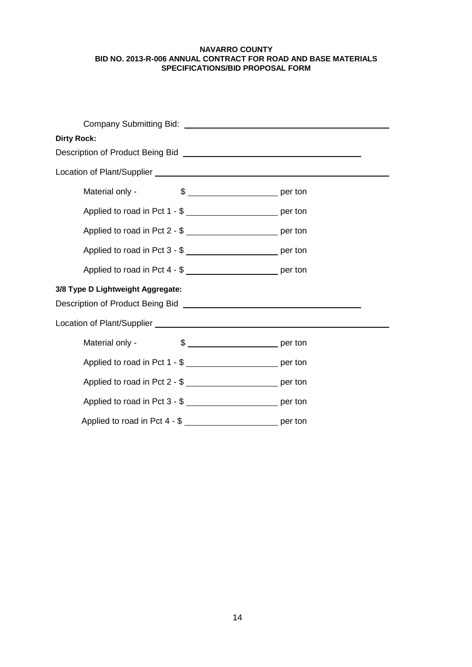| <b>Dirty Rock:</b>                                                                                                       |                                                                                                                |  |  |
|--------------------------------------------------------------------------------------------------------------------------|----------------------------------------------------------------------------------------------------------------|--|--|
|                                                                                                                          | Description of Product Being Bid [CrossReferred Control of Product Being Bid [CrossReferred Control of Product |  |  |
|                                                                                                                          | Location of Plant/Supplier<br><u>Location</u> of Plant/Supplier                                                |  |  |
| Material only -                                                                                                          |                                                                                                                |  |  |
|                                                                                                                          | Applied to road in Pct 1 - \$ ___________________________ per ton                                              |  |  |
|                                                                                                                          | Applied to road in Pct 2 - \$ __________________________ per ton                                               |  |  |
|                                                                                                                          | Applied to road in Pct 3 - \$                                                                                  |  |  |
|                                                                                                                          | Applied to road in Pct 4 - \$ ____________________________ per ton                                             |  |  |
| 3/8 Type D Lightweight Aggregate:<br>Description of Product Being Bid Network and Secretary Control of Product Being Bid |                                                                                                                |  |  |
|                                                                                                                          |                                                                                                                |  |  |
| Material only -                                                                                                          | $\frac{1}{2}$ per ton                                                                                          |  |  |
|                                                                                                                          | Applied to road in Pct 1 - \$ ___________________________ per ton                                              |  |  |
|                                                                                                                          | Applied to road in Pct 2 - \$                                                                                  |  |  |
|                                                                                                                          | Applied to road in Pct 3 - \$ ___________________________ per ton                                              |  |  |
|                                                                                                                          | Applied to road in Pct 4 - \$ __________________________ per ton                                               |  |  |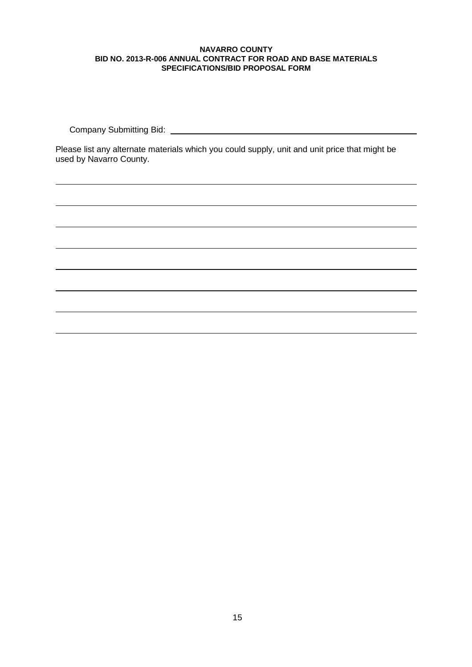Company Submitting Bid: University of the University of the University of the University of the University of the University of the University of the University of the University of the University of the University of the

Please list any alternate materials which you could supply, unit and unit price that might be used by Navarro County.

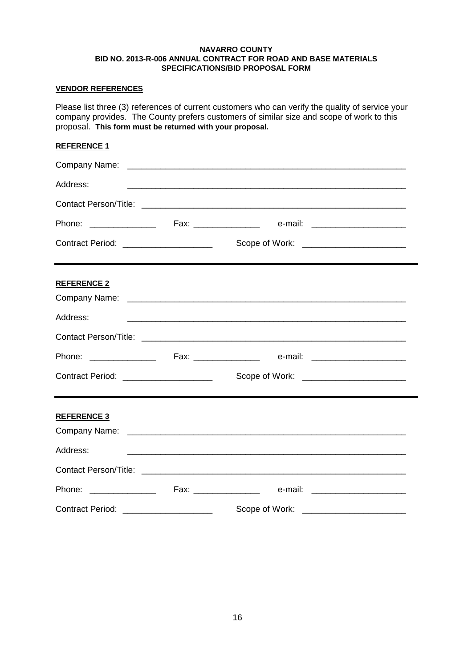# **VENDOR REFERENCES**

Please list three (3) references of current customers who can verify the quality of service your company provides. The County prefers customers of similar size and scope of work to this proposal. **This form must be returned with your proposal.**

# **REFERENCE 1**

| Address:                                |                                          |  |
|-----------------------------------------|------------------------------------------|--|
|                                         |                                          |  |
|                                         |                                          |  |
| Contract Period: _____________________  | Scope of Work: _________________________ |  |
| <b>REFERENCE 2</b>                      |                                          |  |
| Address:                                |                                          |  |
|                                         |                                          |  |
|                                         |                                          |  |
| Contract Period: _____________________  | Scope of Work: ________________________  |  |
| <b>REFERENCE 3</b>                      |                                          |  |
|                                         |                                          |  |
| Address:                                |                                          |  |
|                                         |                                          |  |
|                                         |                                          |  |
| Contract Period: ______________________ | Scope of Work:                           |  |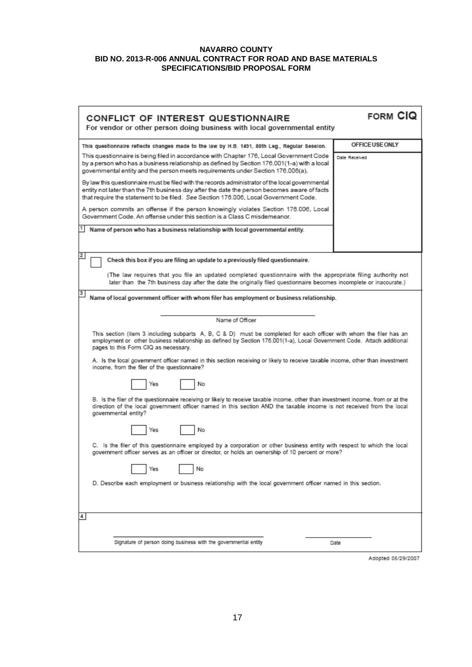| CONFLICT OF INTEREST QUESTIONNAIRE<br>For vendor or other person doing business with local governmental entity                                                                                                                                                                                                                                                                                                                                                        | FORM CIQ        |  |  |
|-----------------------------------------------------------------------------------------------------------------------------------------------------------------------------------------------------------------------------------------------------------------------------------------------------------------------------------------------------------------------------------------------------------------------------------------------------------------------|-----------------|--|--|
| This questionnaire reflects changes made to the law by H.B. 1491, 80th Leg., Regular Session.                                                                                                                                                                                                                                                                                                                                                                         | OFFICE USE ONLY |  |  |
| This questionnaire is being filed in accordance with Chapter 176, Local Government Code<br>by a person who has a business relationship as defined by Section 176.001(1-a) with a local<br>governmental entity and the person meets requirements under Section 176.006(a).                                                                                                                                                                                             | Date Received   |  |  |
| By law this questionnaire must be filed with the records administrator of the local governmental<br>entity not later than the 7th business day after the date the person becomes aware of facts<br>that require the statement to be filed. See Section 176.006, Local Government Code.                                                                                                                                                                                |                 |  |  |
| A person commits an offense if the person knowingly violates Section 176.006, Local<br>Government Code. An offense under this section is a Class C misdemeanor.                                                                                                                                                                                                                                                                                                       |                 |  |  |
| Name of person who has a business relationship with local governmental entity.                                                                                                                                                                                                                                                                                                                                                                                        |                 |  |  |
| 2<br>Check this box if you are filing an update to a previously filed questionnaire.                                                                                                                                                                                                                                                                                                                                                                                  |                 |  |  |
| (The law requires that you file an updated completed questionnaire with the appropriate filing authority not<br>later than the 7th business day after the date the originally filed questionnaire becomes incomplete or inaccurate.)                                                                                                                                                                                                                                  |                 |  |  |
| 3<br>Name of local government officer with whom filer has employment or business relationship.                                                                                                                                                                                                                                                                                                                                                                        |                 |  |  |
| Name of Officer                                                                                                                                                                                                                                                                                                                                                                                                                                                       |                 |  |  |
| This section (item 3 including subparts A, B, C & D) must be completed for each officer with whom the filer has an<br>employment or other business relationship as defined by Section 176.001(1-a), Local Government Code. Attach additional<br>pages to this Form CIQ as necessary.<br>A. Is the local government officer named in this section receiving or likely to receive taxable income, other than investment<br>income, from the filer of the questionnaire? |                 |  |  |
| No<br>Yes                                                                                                                                                                                                                                                                                                                                                                                                                                                             |                 |  |  |
| B. Is the filer of the questionnaire receiving or likely to receive taxable income, other than investment income, from or at the<br>direction of the local government officer named in this section AND the taxable income is not received from the local<br>governmental entity?                                                                                                                                                                                     |                 |  |  |
| No<br>Yes                                                                                                                                                                                                                                                                                                                                                                                                                                                             |                 |  |  |
| C. Is the filer of this questionnaire employed by a corporation or other business entity with respect to which the local<br>government officer serves as an officer or director, or holds an ownership of 10 percent or more?                                                                                                                                                                                                                                         |                 |  |  |
| No<br>Yes                                                                                                                                                                                                                                                                                                                                                                                                                                                             |                 |  |  |
| D. Describe each employment or business relationship with the local government officer named in this section.                                                                                                                                                                                                                                                                                                                                                         |                 |  |  |
| 4                                                                                                                                                                                                                                                                                                                                                                                                                                                                     |                 |  |  |
| Signature of person doing business with the governmental entity                                                                                                                                                                                                                                                                                                                                                                                                       | Date            |  |  |
|                                                                                                                                                                                                                                                                                                                                                                                                                                                                       |                 |  |  |

Adopted 06/29/2007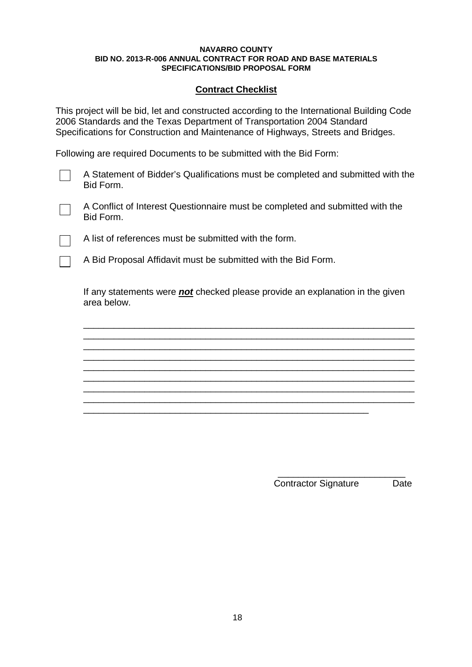# **Contract Checklist**

This project will be bid, let and constructed according to the International Building Code 2006 Standards and the Texas Department of Transportation 2004 Standard Specifications for Construction and Maintenance of Highways, Streets and Bridges.

Following are required Documents to be submitted with the Bid Form:

A Statement of Bidder's Qualifications must be completed and submitted with the Bid Form.

A Conflict of Interest Questionnaire must be completed and submitted with the Bid Form.

A list of references must be submitted with the form.

A Bid Proposal Affidavit must be submitted with the Bid Form.

If any statements were *not* checked please provide an explanation in the given area below.

\_\_\_\_\_\_\_\_\_\_\_\_\_\_\_\_\_\_\_\_\_\_\_\_\_\_\_\_\_\_\_\_\_\_\_\_\_\_\_\_\_\_\_\_\_\_\_\_\_\_\_\_\_\_\_\_\_\_\_\_\_\_\_\_\_ \_\_\_\_\_\_\_\_\_\_\_\_\_\_\_\_\_\_\_\_\_\_\_\_\_\_\_\_\_\_\_\_\_\_\_\_\_\_\_\_\_\_\_\_\_\_\_\_\_\_\_\_\_\_\_\_\_\_\_\_\_\_\_\_\_ \_\_\_\_\_\_\_\_\_\_\_\_\_\_\_\_\_\_\_\_\_\_\_\_\_\_\_\_\_\_\_\_\_\_\_\_\_\_\_\_\_\_\_\_\_\_\_\_\_\_\_\_\_\_\_\_\_\_\_\_\_\_\_\_\_ \_\_\_\_\_\_\_\_\_\_\_\_\_\_\_\_\_\_\_\_\_\_\_\_\_\_\_\_\_\_\_\_\_\_\_\_\_\_\_\_\_\_\_\_\_\_\_\_\_\_\_\_\_\_\_\_\_\_\_\_\_\_\_\_\_ \_\_\_\_\_\_\_\_\_\_\_\_\_\_\_\_\_\_\_\_\_\_\_\_\_\_\_\_\_\_\_\_\_\_\_\_\_\_\_\_\_\_\_\_\_\_\_\_\_\_\_\_\_\_\_\_\_\_\_\_\_\_\_\_\_

\_\_\_\_\_\_\_\_\_\_\_\_\_\_\_\_\_\_\_\_\_\_\_\_\_\_\_\_\_\_\_\_\_\_\_\_\_\_\_\_\_\_\_\_\_\_\_\_\_\_\_\_\_\_\_\_\_\_\_\_\_\_\_\_\_

\_\_\_\_\_\_\_\_\_\_\_\_\_\_\_\_\_\_\_\_\_\_\_\_\_\_\_\_\_\_\_\_\_\_\_\_\_\_\_\_\_\_\_\_\_\_\_\_\_\_\_\_\_\_\_\_

\_\_\_\_\_\_\_\_\_\_\_\_\_\_\_\_\_\_\_\_\_\_\_\_\_ Contractor Signature Date